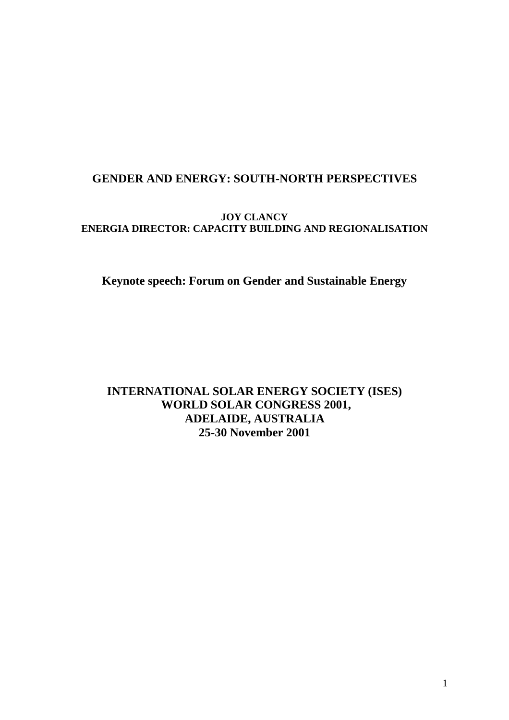# **GENDER AND ENERGY: SOUTH-NORTH PERSPECTIVES**

## **JOY CLANCY ENERGIA DIRECTOR: CAPACITY BUILDING AND REGIONALISATION**

**Keynote speech: Forum on Gender and Sustainable Energy** 

# **INTERNATIONAL SOLAR ENERGY SOCIETY (ISES) WORLD SOLAR CONGRESS 2001, ADELAIDE, AUSTRALIA 25-30 November 2001**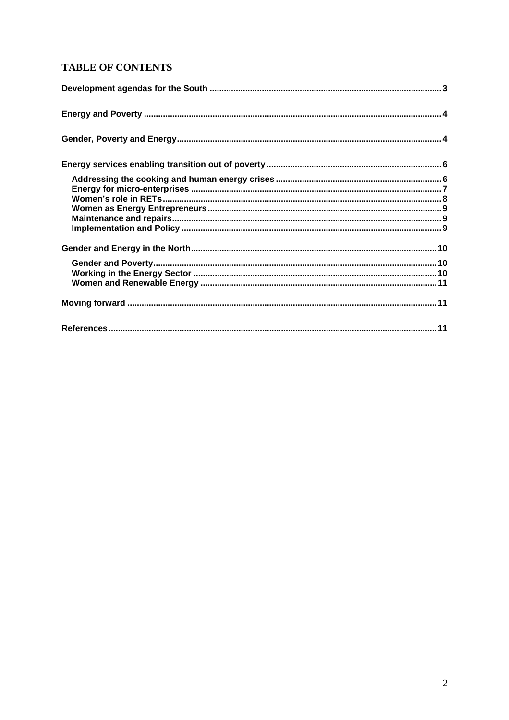## **TABLE OF CONTENTS**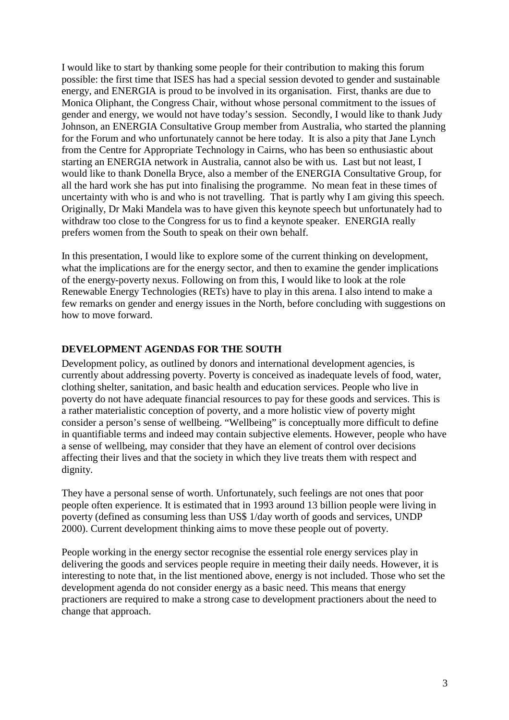I would like to start by thanking some people for their contribution to making this forum possible: the first time that ISES has had a special session devoted to gender and sustainable energy, and ENERGIA is proud to be involved in its organisation. First, thanks are due to Monica Oliphant, the Congress Chair, without whose personal commitment to the issues of gender and energy, we would not have today's session. Secondly, I would like to thank Judy Johnson, an ENERGIA Consultative Group member from Australia, who started the planning for the Forum and who unfortunately cannot be here today. It is also a pity that Jane Lynch from the Centre for Appropriate Technology in Cairns, who has been so enthusiastic about starting an ENERGIA network in Australia, cannot also be with us. Last but not least, I would like to thank Donella Bryce, also a member of the ENERGIA Consultative Group, for all the hard work she has put into finalising the programme. No mean feat in these times of uncertainty with who is and who is not travelling. That is partly why I am giving this speech. Originally, Dr Maki Mandela was to have given this keynote speech but unfortunately had to withdraw too close to the Congress for us to find a keynote speaker. ENERGIA really prefers women from the South to speak on their own behalf.

In this presentation, I would like to explore some of the current thinking on development, what the implications are for the energy sector, and then to examine the gender implications of the energy-poverty nexus. Following on from this, I would like to look at the role Renewable Energy Technologies (RETs) have to play in this arena. I also intend to make a few remarks on gender and energy issues in the North, before concluding with suggestions on how to move forward.

#### **DEVELOPMENT AGENDAS FOR THE SOUTH**

Development policy, as outlined by donors and international development agencies, is currently about addressing poverty. Poverty is conceived as inadequate levels of food, water, clothing shelter, sanitation, and basic health and education services. People who live in poverty do not have adequate financial resources to pay for these goods and services. This is a rather materialistic conception of poverty, and a more holistic view of poverty might consider a person's sense of wellbeing. "Wellbeing" is conceptually more difficult to define in quantifiable terms and indeed may contain subjective elements. However, people who have a sense of wellbeing, may consider that they have an element of control over decisions affecting their lives and that the society in which they live treats them with respect and dignity.

They have a personal sense of worth. Unfortunately, such feelings are not ones that poor people often experience. It is estimated that in 1993 around 13 billion people were living in poverty (defined as consuming less than US\$ 1/day worth of goods and services, UNDP 2000). Current development thinking aims to move these people out of poverty.

People working in the energy sector recognise the essential role energy services play in delivering the goods and services people require in meeting their daily needs. However, it is interesting to note that, in the list mentioned above, energy is not included. Those who set the development agenda do not consider energy as a basic need. This means that energy practioners are required to make a strong case to development practioners about the need to change that approach.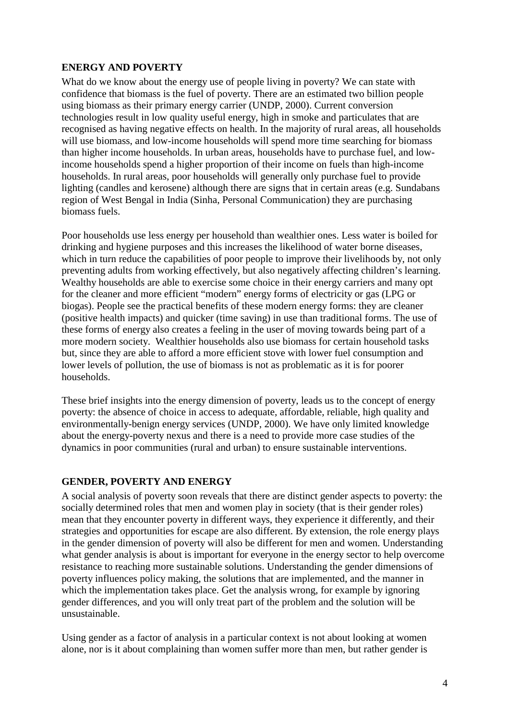## **ENERGY AND POVERTY**

What do we know about the energy use of people living in poverty? We can state with confidence that biomass is the fuel of poverty. There are an estimated two billion people using biomass as their primary energy carrier (UNDP, 2000). Current conversion technologies result in low quality useful energy, high in smoke and particulates that are recognised as having negative effects on health. In the majority of rural areas, all households will use biomass, and low-income households will spend more time searching for biomass than higher income households. In urban areas, households have to purchase fuel, and lowincome households spend a higher proportion of their income on fuels than high-income households. In rural areas, poor households will generally only purchase fuel to provide lighting (candles and kerosene) although there are signs that in certain areas (e.g. Sundabans region of West Bengal in India (Sinha, Personal Communication) they are purchasing biomass fuels.

Poor households use less energy per household than wealthier ones. Less water is boiled for drinking and hygiene purposes and this increases the likelihood of water borne diseases, which in turn reduce the capabilities of poor people to improve their livelihoods by, not only preventing adults from working effectively, but also negatively affecting children's learning. Wealthy households are able to exercise some choice in their energy carriers and many opt for the cleaner and more efficient "modern" energy forms of electricity or gas (LPG or biogas). People see the practical benefits of these modern energy forms: they are cleaner (positive health impacts) and quicker (time saving) in use than traditional forms. The use of these forms of energy also creates a feeling in the user of moving towards being part of a more modern society. Wealthier households also use biomass for certain household tasks but, since they are able to afford a more efficient stove with lower fuel consumption and lower levels of pollution, the use of biomass is not as problematic as it is for poorer households.

These brief insights into the energy dimension of poverty, leads us to the concept of energy poverty: the absence of choice in access to adequate, affordable, reliable, high quality and environmentally-benign energy services (UNDP, 2000). We have only limited knowledge about the energy-poverty nexus and there is a need to provide more case studies of the dynamics in poor communities (rural and urban) to ensure sustainable interventions.

## **GENDER, POVERTY AND ENERGY**

A social analysis of poverty soon reveals that there are distinct gender aspects to poverty: the socially determined roles that men and women play in society (that is their gender roles) mean that they encounter poverty in different ways, they experience it differently, and their strategies and opportunities for escape are also different. By extension, the role energy plays in the gender dimension of poverty will also be different for men and women. Understanding what gender analysis is about is important for everyone in the energy sector to help overcome resistance to reaching more sustainable solutions. Understanding the gender dimensions of poverty influences policy making, the solutions that are implemented, and the manner in which the implementation takes place. Get the analysis wrong, for example by ignoring gender differences, and you will only treat part of the problem and the solution will be unsustainable.

Using gender as a factor of analysis in a particular context is not about looking at women alone, nor is it about complaining than women suffer more than men, but rather gender is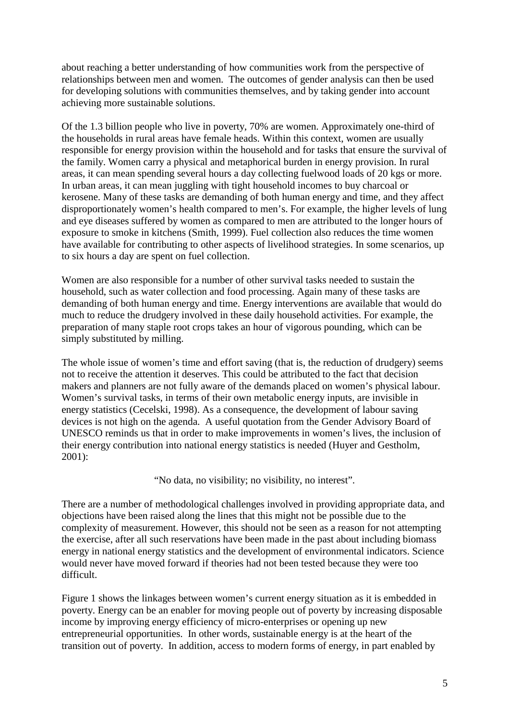about reaching a better understanding of how communities work from the perspective of relationships between men and women. The outcomes of gender analysis can then be used for developing solutions with communities themselves, and by taking gender into account achieving more sustainable solutions.

Of the 1.3 billion people who live in poverty, 70% are women. Approximately one-third of the households in rural areas have female heads. Within this context, women are usually responsible for energy provision within the household and for tasks that ensure the survival of the family. Women carry a physical and metaphorical burden in energy provision. In rural areas, it can mean spending several hours a day collecting fuelwood loads of 20 kgs or more. In urban areas, it can mean juggling with tight household incomes to buy charcoal or kerosene. Many of these tasks are demanding of both human energy and time, and they affect disproportionately women's health compared to men's. For example, the higher levels of lung and eye diseases suffered by women as compared to men are attributed to the longer hours of exposure to smoke in kitchens (Smith, 1999). Fuel collection also reduces the time women have available for contributing to other aspects of livelihood strategies. In some scenarios, up to six hours a day are spent on fuel collection.

Women are also responsible for a number of other survival tasks needed to sustain the household, such as water collection and food processing. Again many of these tasks are demanding of both human energy and time. Energy interventions are available that would do much to reduce the drudgery involved in these daily household activities. For example, the preparation of many staple root crops takes an hour of vigorous pounding, which can be simply substituted by milling.

The whole issue of women's time and effort saving (that is, the reduction of drudgery) seems not to receive the attention it deserves. This could be attributed to the fact that decision makers and planners are not fully aware of the demands placed on women's physical labour. Women's survival tasks, in terms of their own metabolic energy inputs, are invisible in energy statistics (Cecelski, 1998). As a consequence, the development of labour saving devices is not high on the agenda. A useful quotation from the Gender Advisory Board of UNESCO reminds us that in order to make improvements in women's lives, the inclusion of their energy contribution into national energy statistics is needed (Huyer and Gestholm, 2001):

"No data, no visibility; no visibility, no interest".

There are a number of methodological challenges involved in providing appropriate data, and objections have been raised along the lines that this might not be possible due to the complexity of measurement. However, this should not be seen as a reason for not attempting the exercise, after all such reservations have been made in the past about including biomass energy in national energy statistics and the development of environmental indicators. Science would never have moved forward if theories had not been tested because they were too difficult.

Figure 1 shows the linkages between women's current energy situation as it is embedded in poverty. Energy can be an enabler for moving people out of poverty by increasing disposable income by improving energy efficiency of micro-enterprises or opening up new entrepreneurial opportunities. In other words, sustainable energy is at the heart of the transition out of poverty. In addition, access to modern forms of energy, in part enabled by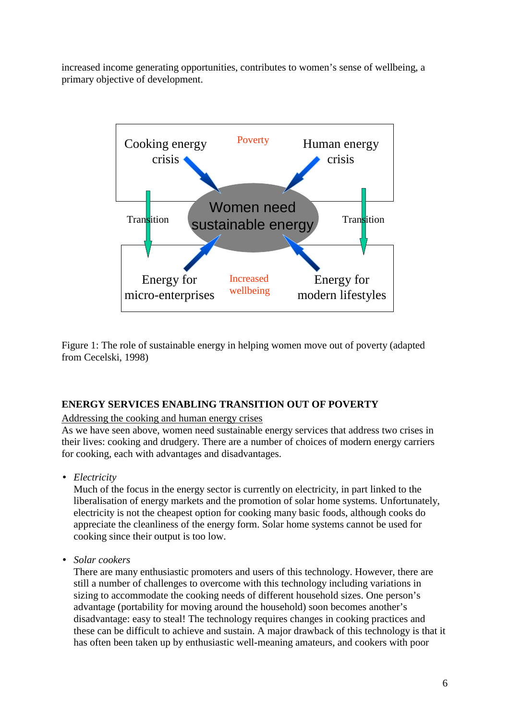increased income generating opportunities, contributes to women's sense of wellbeing, a primary objective of development.



Figure 1: The role of sustainable energy in helping women move out of poverty (adapted from Cecelski, 1998)

## **ENERGY SERVICES ENABLING TRANSITION OUT OF POVERTY**

## Addressing the cooking and human energy crises

As we have seen above, women need sustainable energy services that address two crises in their lives: cooking and drudgery. There are a number of choices of modern energy carriers for cooking, each with advantages and disadvantages.

• *Electricity*

Much of the focus in the energy sector is currently on electricity, in part linked to the liberalisation of energy markets and the promotion of solar home systems. Unfortunately, electricity is not the cheapest option for cooking many basic foods, although cooks do appreciate the cleanliness of the energy form. Solar home systems cannot be used for cooking since their output is too low.

• *Solar cookers*

There are many enthusiastic promoters and users of this technology. However, there are still a number of challenges to overcome with this technology including variations in sizing to accommodate the cooking needs of different household sizes. One person's advantage (portability for moving around the household) soon becomes another's disadvantage: easy to steal! The technology requires changes in cooking practices and these can be difficult to achieve and sustain. A major drawback of this technology is that it has often been taken up by enthusiastic well-meaning amateurs, and cookers with poor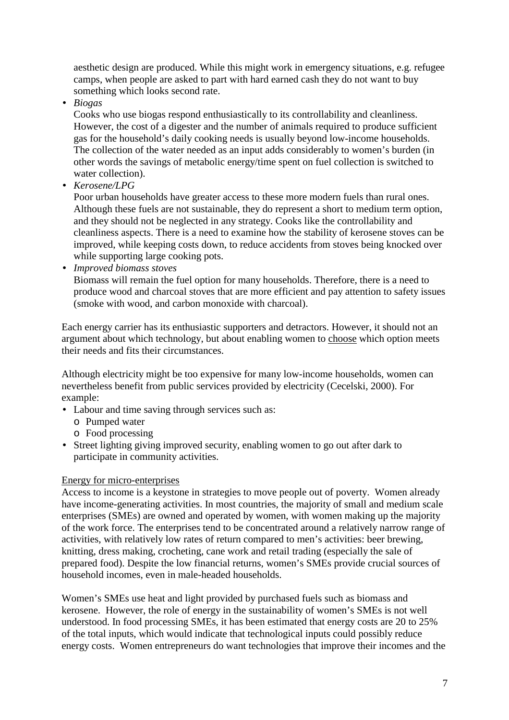aesthetic design are produced. While this might work in emergency situations, e.g. refugee camps, when people are asked to part with hard earned cash they do not want to buy something which looks second rate.

• *Biogas*

Cooks who use biogas respond enthusiastically to its controllability and cleanliness. However, the cost of a digester and the number of animals required to produce sufficient gas for the household's daily cooking needs is usually beyond low-income households. The collection of the water needed as an input adds considerably to women's burden (in other words the savings of metabolic energy/time spent on fuel collection is switched to water collection).

• *Kerosene/LPG*

Poor urban households have greater access to these more modern fuels than rural ones. Although these fuels are not sustainable, they do represent a short to medium term option, and they should not be neglected in any strategy. Cooks like the controllability and cleanliness aspects. There is a need to examine how the stability of kerosene stoves can be improved, while keeping costs down, to reduce accidents from stoves being knocked over while supporting large cooking pots.

• *Improved biomass stoves*

Biomass will remain the fuel option for many households. Therefore, there is a need to produce wood and charcoal stoves that are more efficient and pay attention to safety issues (smoke with wood, and carbon monoxide with charcoal).

Each energy carrier has its enthusiastic supporters and detractors. However, it should not an argument about which technology, but about enabling women to choose which option meets their needs and fits their circumstances.

Although electricity might be too expensive for many low-income households, women can nevertheless benefit from public services provided by electricity (Cecelski, 2000). For example:

- Labour and time saving through services such as:
	- o Pumped water
	- o Food processing
- Street lighting giving improved security, enabling women to go out after dark to participate in community activities.

## Energy for micro-enterprises

Access to income is a keystone in strategies to move people out of poverty. Women already have income-generating activities. In most countries, the majority of small and medium scale enterprises (SMEs) are owned and operated by women, with women making up the majority of the work force. The enterprises tend to be concentrated around a relatively narrow range of activities, with relatively low rates of return compared to men's activities: beer brewing, knitting, dress making, crocheting, cane work and retail trading (especially the sale of prepared food). Despite the low financial returns, women's SMEs provide crucial sources of household incomes, even in male-headed households.

Women's SMEs use heat and light provided by purchased fuels such as biomass and kerosene. However, the role of energy in the sustainability of women's SMEs is not well understood. In food processing SMEs, it has been estimated that energy costs are 20 to 25% of the total inputs, which would indicate that technological inputs could possibly reduce energy costs. Women entrepreneurs do want technologies that improve their incomes and the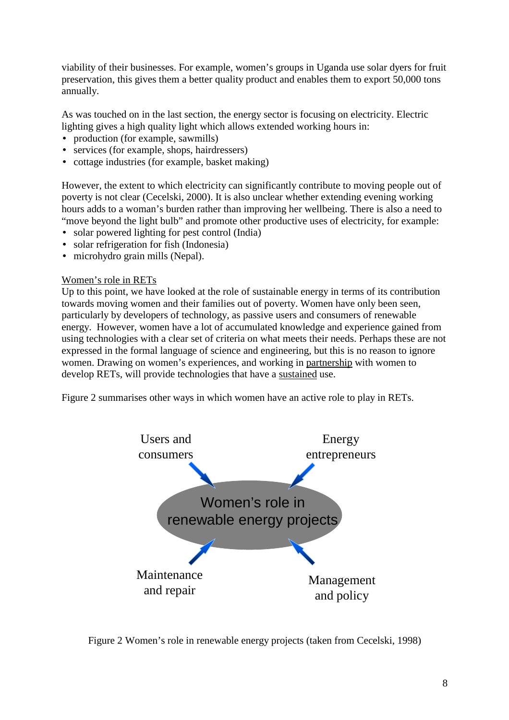viability of their businesses. For example, women's groups in Uganda use solar dyers for fruit preservation, this gives them a better quality product and enables them to export 50,000 tons annually.

As was touched on in the last section, the energy sector is focusing on electricity. Electric lighting gives a high quality light which allows extended working hours in:

- production (for example, sawmills)
- services (for example, shops, hairdressers)
- cottage industries (for example, basket making)

However, the extent to which electricity can significantly contribute to moving people out of poverty is not clear (Cecelski, 2000). It is also unclear whether extending evening working hours adds to a woman's burden rather than improving her wellbeing. There is also a need to "move beyond the light bulb" and promote other productive uses of electricity, for example:

- solar powered lighting for pest control (India)
- solar refrigeration for fish (Indonesia)
- microhydro grain mills (Nepal).

#### Women's role in RETs

Up to this point, we have looked at the role of sustainable energy in terms of its contribution towards moving women and their families out of poverty. Women have only been seen, particularly by developers of technology, as passive users and consumers of renewable energy. However, women have a lot of accumulated knowledge and experience gained from using technologies with a clear set of criteria on what meets their needs. Perhaps these are not expressed in the formal language of science and engineering, but this is no reason to ignore women. Drawing on women's experiences, and working in partnership with women to develop RETs, will provide technologies that have a sustained use.

Figure 2 summarises other ways in which women have an active role to play in RETs.



Figure 2 Women's role in renewable energy projects (taken from Cecelski, 1998)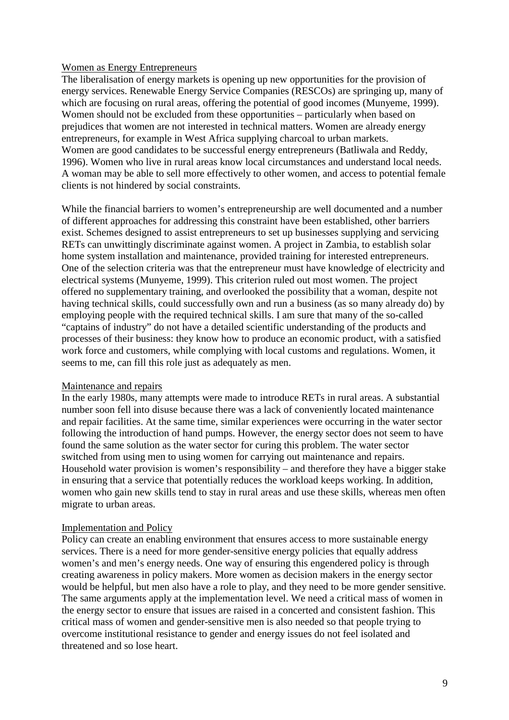#### Women as Energy Entrepreneurs

The liberalisation of energy markets is opening up new opportunities for the provision of energy services. Renewable Energy Service Companies (RESCOs) are springing up, many of which are focusing on rural areas, offering the potential of good incomes (Munyeme, 1999). Women should not be excluded from these opportunities – particularly when based on prejudices that women are not interested in technical matters. Women are already energy entrepreneurs, for example in West Africa supplying charcoal to urban markets. Women are good candidates to be successful energy entrepreneurs (Batliwala and Reddy, 1996). Women who live in rural areas know local circumstances and understand local needs. A woman may be able to sell more effectively to other women, and access to potential female clients is not hindered by social constraints.

While the financial barriers to women's entrepreneurship are well documented and a number of different approaches for addressing this constraint have been established, other barriers exist. Schemes designed to assist entrepreneurs to set up businesses supplying and servicing RETs can unwittingly discriminate against women. A project in Zambia, to establish solar home system installation and maintenance, provided training for interested entrepreneurs. One of the selection criteria was that the entrepreneur must have knowledge of electricity and electrical systems (Munyeme, 1999). This criterion ruled out most women. The project offered no supplementary training, and overlooked the possibility that a woman, despite not having technical skills, could successfully own and run a business (as so many already do) by employing people with the required technical skills. I am sure that many of the so-called "captains of industry" do not have a detailed scientific understanding of the products and processes of their business: they know how to produce an economic product, with a satisfied work force and customers, while complying with local customs and regulations. Women, it seems to me, can fill this role just as adequately as men.

#### Maintenance and repairs

In the early 1980s, many attempts were made to introduce RETs in rural areas. A substantial number soon fell into disuse because there was a lack of conveniently located maintenance and repair facilities. At the same time, similar experiences were occurring in the water sector following the introduction of hand pumps. However, the energy sector does not seem to have found the same solution as the water sector for curing this problem. The water sector switched from using men to using women for carrying out maintenance and repairs. Household water provision is women's responsibility – and therefore they have a bigger stake in ensuring that a service that potentially reduces the workload keeps working. In addition, women who gain new skills tend to stay in rural areas and use these skills, whereas men often migrate to urban areas.

#### Implementation and Policy

Policy can create an enabling environment that ensures access to more sustainable energy services. There is a need for more gender-sensitive energy policies that equally address women's and men's energy needs. One way of ensuring this engendered policy is through creating awareness in policy makers. More women as decision makers in the energy sector would be helpful, but men also have a role to play, and they need to be more gender sensitive. The same arguments apply at the implementation level. We need a critical mass of women in the energy sector to ensure that issues are raised in a concerted and consistent fashion. This critical mass of women and gender-sensitive men is also needed so that people trying to overcome institutional resistance to gender and energy issues do not feel isolated and threatened and so lose heart.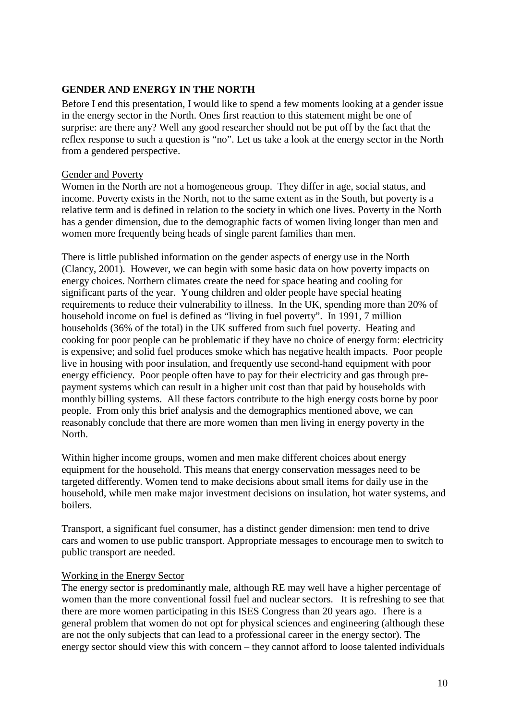## **GENDER AND ENERGY IN THE NORTH**

Before I end this presentation, I would like to spend a few moments looking at a gender issue in the energy sector in the North. Ones first reaction to this statement might be one of surprise: are there any? Well any good researcher should not be put off by the fact that the reflex response to such a question is "no". Let us take a look at the energy sector in the North from a gendered perspective.

#### Gender and Poverty

Women in the North are not a homogeneous group. They differ in age, social status, and income. Poverty exists in the North, not to the same extent as in the South, but poverty is a relative term and is defined in relation to the society in which one lives. Poverty in the North has a gender dimension, due to the demographic facts of women living longer than men and women more frequently being heads of single parent families than men.

There is little published information on the gender aspects of energy use in the North (Clancy, 2001). However, we can begin with some basic data on how poverty impacts on energy choices. Northern climates create the need for space heating and cooling for significant parts of the year. Young children and older people have special heating requirements to reduce their vulnerability to illness. In the UK, spending more than 20% of household income on fuel is defined as "living in fuel poverty". In 1991, 7 million households (36% of the total) in the UK suffered from such fuel poverty. Heating and cooking for poor people can be problematic if they have no choice of energy form: electricity is expensive; and solid fuel produces smoke which has negative health impacts. Poor people live in housing with poor insulation, and frequently use second-hand equipment with poor energy efficiency. Poor people often have to pay for their electricity and gas through prepayment systems which can result in a higher unit cost than that paid by households with monthly billing systems. All these factors contribute to the high energy costs borne by poor people. From only this brief analysis and the demographics mentioned above, we can reasonably conclude that there are more women than men living in energy poverty in the North.

Within higher income groups, women and men make different choices about energy equipment for the household. This means that energy conservation messages need to be targeted differently. Women tend to make decisions about small items for daily use in the household, while men make major investment decisions on insulation, hot water systems, and boilers.

Transport, a significant fuel consumer, has a distinct gender dimension: men tend to drive cars and women to use public transport. Appropriate messages to encourage men to switch to public transport are needed.

#### Working in the Energy Sector

The energy sector is predominantly male, although RE may well have a higher percentage of women than the more conventional fossil fuel and nuclear sectors. It is refreshing to see that there are more women participating in this ISES Congress than 20 years ago. There is a general problem that women do not opt for physical sciences and engineering (although these are not the only subjects that can lead to a professional career in the energy sector). The energy sector should view this with concern – they cannot afford to loose talented individuals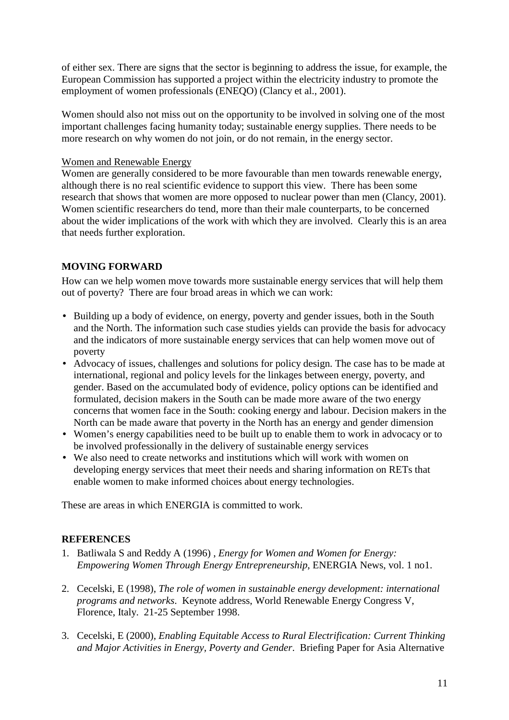of either sex. There are signs that the sector is beginning to address the issue, for example, the European Commission has supported a project within the electricity industry to promote the employment of women professionals (ENEQO) (Clancy et al., 2001).

Women should also not miss out on the opportunity to be involved in solving one of the most important challenges facing humanity today; sustainable energy supplies. There needs to be more research on why women do not join, or do not remain, in the energy sector.

#### Women and Renewable Energy

Women are generally considered to be more favourable than men towards renewable energy, although there is no real scientific evidence to support this view. There has been some research that shows that women are more opposed to nuclear power than men (Clancy, 2001). Women scientific researchers do tend, more than their male counterparts, to be concerned about the wider implications of the work with which they are involved. Clearly this is an area that needs further exploration.

## **MOVING FORWARD**

How can we help women move towards more sustainable energy services that will help them out of poverty? There are four broad areas in which we can work:

- Building up a body of evidence, on energy, poverty and gender issues, both in the South and the North. The information such case studies yields can provide the basis for advocacy and the indicators of more sustainable energy services that can help women move out of poverty
- Advocacy of issues, challenges and solutions for policy design. The case has to be made at international, regional and policy levels for the linkages between energy, poverty, and gender. Based on the accumulated body of evidence, policy options can be identified and formulated, decision makers in the South can be made more aware of the two energy concerns that women face in the South: cooking energy and labour. Decision makers in the North can be made aware that poverty in the North has an energy and gender dimension
- Women's energy capabilities need to be built up to enable them to work in advocacy or to be involved professionally in the delivery of sustainable energy services
- We also need to create networks and institutions which will work with women on developing energy services that meet their needs and sharing information on RETs that enable women to make informed choices about energy technologies.

These are areas in which ENERGIA is committed to work.

## **REFERENCES**

- 1. Batliwala S and Reddy A (1996) , *Energy for Women and Women for Energy: Empowering Women Through Energy Entrepreneurship*, ENERGIA News, vol. 1 no1.
- 2. Cecelski, E (1998), *The role of women in sustainable energy development: international programs and networks*. Keynote address, World Renewable Energy Congress V, Florence, Italy. 21-25 September 1998.
- 3. Cecelski, E (2000), *Enabling Equitable Access to Rural Electrification: Current Thinking and Major Activities in Energy, Poverty and Gender*. Briefing Paper for Asia Alternative